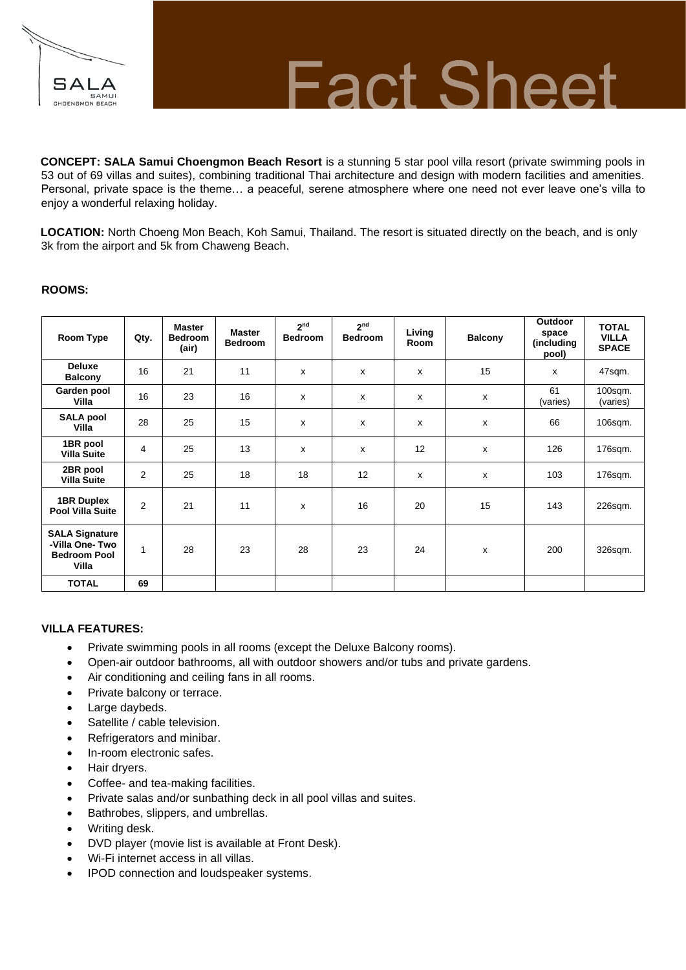

## **Fact Sheet**

**CONCEPT: SALA Samui Choengmon Beach Resort** is a stunning 5 star pool villa resort (private swimming pools in 53 out of 69 villas and suites), combining traditional Thai architecture and design with modern facilities and amenities. Personal, private space is the theme… a peaceful, serene atmosphere where one need not ever leave one's villa to enjoy a wonderful relaxing holiday.

**LOCATION:** North Choeng Mon Beach, Koh Samui, Thailand. The resort is situated directly on the beach, and is only 3k from the airport and 5k from Chaweng Beach.

### **ROOMS:**

| Room Type                                                               | Qty.           | <b>Master</b><br><b>Bedroom</b><br>(air) | <b>Master</b><br><b>Bedroom</b> | 2 <sub>nd</sub><br><b>Bedroom</b> | 2 <sub>nd</sub><br><b>Bedroom</b> | Living<br>Room | <b>Balcony</b> | <b>Outdoor</b><br>space<br>(including<br>pool) | <b>TOTAL</b><br><b>VILLA</b><br><b>SPACE</b> |
|-------------------------------------------------------------------------|----------------|------------------------------------------|---------------------------------|-----------------------------------|-----------------------------------|----------------|----------------|------------------------------------------------|----------------------------------------------|
| <b>Deluxe</b><br><b>Balcony</b>                                         | 16             | 21                                       | 11                              | x                                 | $\mathsf{x}$                      | x              | 15             | $\boldsymbol{\mathsf{x}}$                      | 47sqm.                                       |
| Garden pool<br>Villa                                                    | 16             | 23                                       | 16                              | X                                 | $\mathsf{x}$                      | x              | x              | 61<br>(varies)                                 | 100sqm.<br>(varies)                          |
| <b>SALA pool</b><br>Villa                                               | 28             | 25                                       | 15                              | x                                 | x                                 | X              | x              | 66                                             | 106sqm.                                      |
| 1BR pool<br><b>Villa Suite</b>                                          | 4              | 25                                       | 13                              | x                                 | x                                 | 12             | x              | 126                                            | 176sqm.                                      |
| 2BR pool<br><b>Villa Suite</b>                                          | $\overline{2}$ | 25                                       | 18                              | 18                                | 12                                | $\mathsf{x}$   | $\mathsf{x}$   | 103                                            | 176sqm.                                      |
| <b>1BR Duplex</b><br><b>Pool Villa Suite</b>                            | 2              | 21                                       | 11                              | X                                 | 16                                | 20             | 15             | 143                                            | 226sqm.                                      |
| <b>SALA Signature</b><br>-Villa One-Two<br><b>Bedroom Pool</b><br>Villa | 1              | 28                                       | 23                              | 28                                | 23                                | 24             | x              | 200                                            | 326sqm.                                      |
| <b>TOTAL</b>                                                            | 69             |                                          |                                 |                                   |                                   |                |                |                                                |                                              |

### **VILLA FEATURES:**

- Private swimming pools in all rooms (except the Deluxe Balcony rooms).
- Open-air outdoor bathrooms, all with outdoor showers and/or tubs and private gardens.
- Air conditioning and ceiling fans in all rooms.
- Private balcony or terrace.
- Large daybeds.
- Satellite / cable television.
- Refrigerators and minibar.
- In-room electronic safes.
- Hair dryers.
- Coffee- and tea-making facilities.
- Private salas and/or sunbathing deck in all pool villas and suites.
- Bathrobes, slippers, and umbrellas.
- Writing desk.
- DVD player (movie list is available at Front Desk).
- Wi-Fi internet access in all villas.
- IPOD connection and loudspeaker systems.